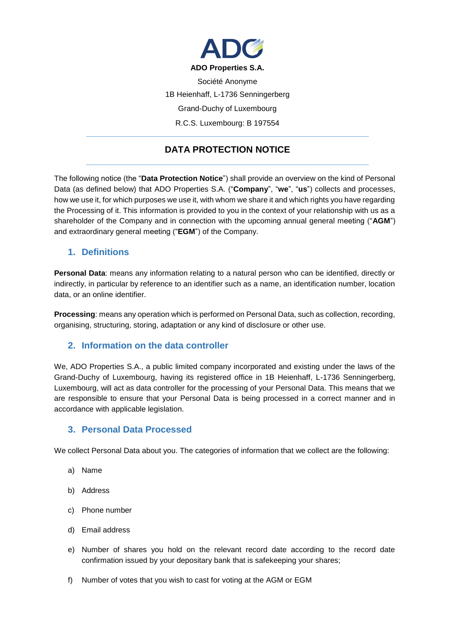

Société Anonyme 1B Heienhaff, L-1736 Senningerberg Grand-Duchy of Luxembourg R.C.S. Luxembourg: B 197554

# **DATA PROTECTION NOTICE**

The following notice (the "**Data Protection Notice**") shall provide an overview on the kind of Personal Data (as defined below) that ADO Properties S.A. ("**Company**", "**we**", "**us**") collects and processes, how we use it, for which purposes we use it, with whom we share it and which rights you have regarding the Processing of it. This information is provided to you in the context of your relationship with us as a shareholder of the Company and in connection with the upcoming annual general meeting ("**AGM**") and extraordinary general meeting ("**EGM**") of the Company.

#### **1. Definitions**

**Personal Data**: means any information relating to a natural person who can be identified, directly or indirectly, in particular by reference to an identifier such as a name, an identification number, location data, or an online identifier.

**Processing**: means any operation which is performed on Personal Data, such as collection, recording, organising, structuring, storing, adaptation or any kind of disclosure or other use.

#### **2. Information on the data controller**

We, ADO Properties S.A., a public limited company incorporated and existing under the laws of the Grand-Duchy of Luxembourg, having its registered office in 1B Heienhaff, L-1736 Senningerberg, Luxembourg, will act as data controller for the processing of your Personal Data. This means that we are responsible to ensure that your Personal Data is being processed in a correct manner and in accordance with applicable legislation.

#### **3. Personal Data Processed**

We collect Personal Data about you. The categories of information that we collect are the following:

- a) Name
- b) Address
- c) Phone number
- d) Email address
- e) Number of shares you hold on the relevant record date according to the record date confirmation issued by your depositary bank that is safekeeping your shares;
- f) Number of votes that you wish to cast for voting at the AGM or EGM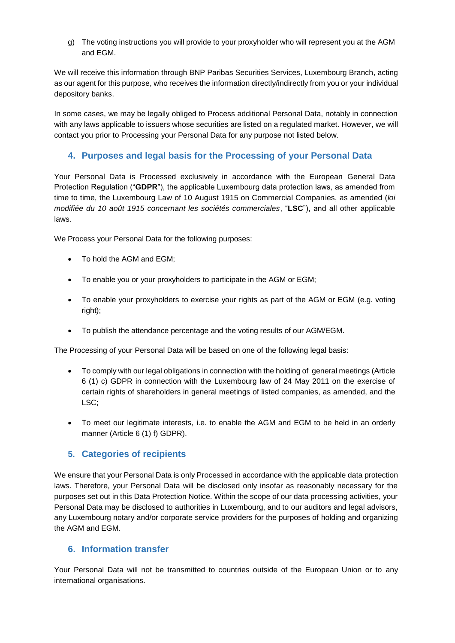g) The voting instructions you will provide to your proxyholder who will represent you at the AGM and EGM.

We will receive this information through BNP Paribas Securities Services, Luxembourg Branch, acting as our agent for this purpose, who receives the information directly/indirectly from you or your individual depository banks.

In some cases, we may be legally obliged to Process additional Personal Data, notably in connection with any laws applicable to issuers whose securities are listed on a regulated market. However, we will contact you prior to Processing your Personal Data for any purpose not listed below.

### **4. Purposes and legal basis for the Processing of your Personal Data**

Your Personal Data is Processed exclusively in accordance with the European General Data Protection Regulation ("**GDPR**"), the applicable Luxembourg data protection laws, as amended from time to time, the Luxembourg Law of 10 August 1915 on Commercial Companies, as amended (*loi modifiée du 10 août 1915 concernant les sociétés commerciales*, "**LSC**"), and all other applicable laws.

We Process your Personal Data for the following purposes:

- To hold the AGM and EGM:
- To enable you or your proxyholders to participate in the AGM or EGM;
- To enable your proxyholders to exercise your rights as part of the AGM or EGM (e.g. voting right);
- To publish the attendance percentage and the voting results of our AGM/EGM.

The Processing of your Personal Data will be based on one of the following legal basis:

- To comply with our legal obligations in connection with the holding of general meetings (Article 6 (1) c) GDPR in connection with the Luxembourg law of 24 May 2011 on the exercise of certain rights of shareholders in general meetings of listed companies, as amended, and the LSC;
- To meet our legitimate interests, i.e. to enable the AGM and EGM to be held in an orderly manner (Article 6 (1) f) GDPR).

#### **5. Categories of recipients**

We ensure that your Personal Data is only Processed in accordance with the applicable data protection laws. Therefore, your Personal Data will be disclosed only insofar as reasonably necessary for the purposes set out in this Data Protection Notice. Within the scope of our data processing activities, your Personal Data may be disclosed to authorities in Luxembourg, and to our auditors and legal advisors, any Luxembourg notary and/or corporate service providers for the purposes of holding and organizing the AGM and EGM.

#### **6. Information transfer**

Your Personal Data will not be transmitted to countries outside of the European Union or to any international organisations.